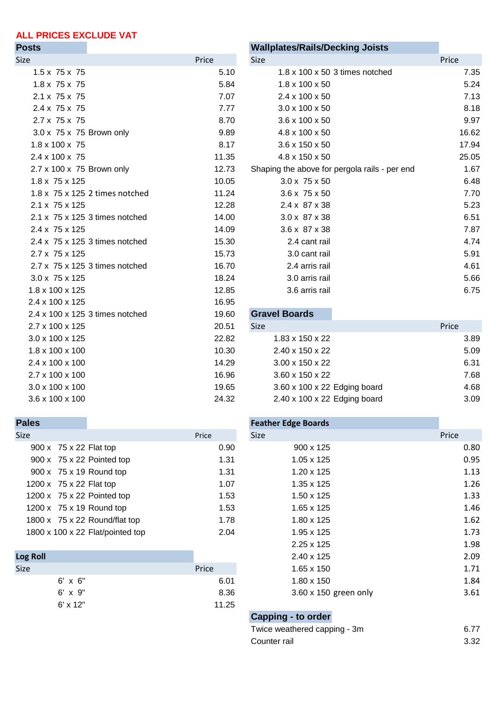# **ALL PRICES EXCLUDE VAT**

| ι νοιο                      |                                 |       | waliplates/Italis/Decklify Joists             |                                |       |
|-----------------------------|---------------------------------|-------|-----------------------------------------------|--------------------------------|-------|
| Size                        |                                 | Price | Size                                          |                                | Price |
| $1.5 \times 75 \times 75$   |                                 | 5.10  |                                               | 1.8 x 100 x 50 3 times notched |       |
| $1.8 \times 75 \times 75$   |                                 | 5.84  | $1.8 \times 100 \times 50$                    |                                |       |
| $2.1 \times 75 \times 75$   |                                 | 7.07  | 2.4 x 100 x 50                                |                                |       |
| $2.4 \times 75 \times 75$   |                                 | 7.77  | 3.0 x 100 x 50                                |                                |       |
| 2.7 x 75 x 75               |                                 | 8.70  | 3.6 x 100 x 50                                |                                |       |
| 3.0 x 75 x 75 Brown only    |                                 | 9.89  | 4.8 x 100 x 50                                |                                |       |
| 1.8 x 100 x 75              |                                 | 8.17  | 3.6 x 150 x 50                                |                                |       |
| 2.4 x 100 x 75              |                                 | 11.35 | 4.8 x 150 x 50                                |                                |       |
| 2.7 x 100 x 75 Brown only   |                                 | 12.73 | Shaping the above for pergola rails - per end |                                |       |
| $1.8 \times 75 \times 125$  |                                 | 10.05 | $3.0 \times 75 \times 50$                     |                                |       |
|                             | 1.8 x 75 x 125 2 times notched  | 11.24 | 3.6 x 75 x 50                                 |                                |       |
| $2.1 \times 75 \times 125$  |                                 | 12.28 | 2.4 x 87 x 38                                 |                                |       |
|                             | 2.1 x 75 x 125 3 times notched  | 14.00 | 3.0 x 87 x 38                                 |                                |       |
| $2.4 \times 75 \times 125$  |                                 | 14.09 | $3.6 \times 87 \times 38$                     |                                |       |
|                             | 2.4 x 75 x 125 3 times notched  | 15.30 | 2.4 cant rail                                 |                                |       |
| 2.7 x 75 x 125              |                                 | 15.73 | 3.0 cant rail                                 |                                |       |
|                             | 2.7 x 75 x 125 3 times notched  | 16.70 | 2.4 arris rail                                |                                |       |
| 3.0 x 75 x 125              |                                 | 18.24 | 3.0 arris rail                                |                                |       |
| 1.8 x 100 x 125             |                                 | 12.85 | 3.6 arris rail                                |                                |       |
| 2.4 x 100 x 125             |                                 | 16.95 |                                               |                                |       |
|                             | 2.4 x 100 x 125 3 times notched | 19.60 | <b>Gravel Boards</b>                          |                                |       |
| 2.7 x 100 x 125             |                                 | 20.51 | Size                                          |                                | Price |
| $3.0 \times 100 \times 125$ |                                 | 22.82 | 1.83 x 150 x 22                               |                                |       |
| $1.8 \times 100 \times 100$ |                                 | 10.30 | 2.40 x 150 x 22                               |                                |       |
| 2.4 x 100 x 100             |                                 | 14.29 | 3.00 x 150 x 22                               |                                |       |
| 2.7 x 100 x 100             |                                 | 16.96 | 3.60 x 150 x 22                               |                                |       |
| 3.0 x 100 x 100             |                                 | 19.65 | 3.60 x 100 x 22 Edging board                  |                                |       |
| 3.6 x 100 x 100             |                                 | 24.32 | 2.40 x 100 x 22 Edging board                  |                                |       |

| <b>Posts</b>                               |       | <b>Wallplates/Rails/Decking Joists</b>        |       |
|--------------------------------------------|-------|-----------------------------------------------|-------|
| Size                                       | Price | Size                                          | Price |
| $1.5 \times 75 \times 75$                  | 5.10  | $1.8 \times 100 \times 50$ 3 times notched    | 7.35  |
| $1.8 \times 75 \times 75$                  | 5.84  | $1.8 \times 100 \times 50$                    | 5.24  |
| $2.1 \times 75 \times 75$                  | 7.07  | 2.4 x 100 x 50                                | 7.13  |
| 2.4 x 75 x 75                              | 7.77  | $3.0 \times 100 \times 50$                    | 8.18  |
| 2.7 x 75 x 75                              | 8.70  | $3.6 \times 100 \times 50$                    | 9.97  |
| 3.0 x 75 x 75 Brown only                   | 9.89  | 4.8 x 100 x 50                                | 16.62 |
| $1.8 \times 100 \times 75$                 | 8.17  | 3.6 x 150 x 50                                | 17.94 |
| 2.4 x 100 x 75                             | 11.35 | 4.8 x 150 x 50                                | 25.05 |
| 2.7 x 100 x 75 Brown only                  | 12.73 | Shaping the above for pergola rails - per end | 1.67  |
| 1.8 x 75 x 125                             | 10.05 | $3.0 \times 75 \times 50$                     | 6.48  |
| $1.8 \times 75 \times 125$ 2 times notched | 11.24 | $3.6 \times 75 \times 50$                     | 7.70  |
| 2.1 x 75 x 125                             | 12.28 | 2.4 x 87 x 38                                 | 5.23  |
| $2.1 \times 75 \times 125$ 3 times notched | 14.00 | 3.0 x 87 x 38                                 | 6.51  |
| 2.4 x 75 x 125                             | 14.09 | 3.6 x 87 x 38                                 | 7.87  |
| 2.4 x 75 x 125 3 times notched             | 15.30 | 2.4 cant rail                                 | 4.74  |
| 2.7 x 75 x 125                             | 15.73 | 3.0 cant rail                                 | 5.91  |
| 2.7 x 75 x 125 3 times notched             | 16.70 | 2.4 arris rail                                | 4.61  |
| 3.0 x 75 x 125                             | 18.24 | 3.0 arris rail                                | 5.66  |
| $1.8 \times 100 \times 125$                | 12.85 | 3.6 arris rail                                | 6.75  |
| $2.4 \times 100 \times 125$                | 1695  |                                               |       |

| 2.7 x 100 x 125 | 20.51 | <b>Size</b>                              | Price |
|-----------------|-------|------------------------------------------|-------|
| 3.0 x 100 x 125 | 22.82 | 1.83 x 150 x 22                          | 3.89  |
| 1.8 x 100 x 100 | 10.30 | 2.40 x 150 x 22                          | 5.09  |
| 2.4 x 100 x 100 | 14.29 | 3.00 x 150 x 22                          | 6.31  |
| 2.7 x 100 x 100 | 16.96 | 3.60 x 150 x 22                          | 7.68  |
| 3.0 x 100 x 100 | 19.65 | 3.60 x 100 x 22 Edging board             | 4.68  |
| 3.6 x 100 x 100 | 24.32 | $2.40 \times 100 \times 22$ Edging board | 3.09  |
|                 |       |                                          |       |

## **Pales Feather Edge Boards**

| Size |                                  | Price | <b>Size</b>       | Price |
|------|----------------------------------|-------|-------------------|-------|
|      | 900 x 75 x 22 Flat top           | 0.90  | 900 x 125         | 0.80  |
|      | 900 x 75 x 22 Pointed top        | 1.31  | $1.05 \times 125$ | 0.95  |
|      | 900 x 75 x 19 Round top          | 1.31  | $1.20 \times 125$ | 1.13  |
|      | 1200 x 75 x 22 Flat top          | 1.07  | $1.35 \times 125$ | 1.26  |
|      | 1200 x 75 x 22 Pointed top       | 1.53  | $1.50 \times 125$ | 1.33  |
|      | 1200 x 75 x 19 Round top         | 1.53  | $1.65 \times 125$ | 1.46  |
|      | 1800 x 75 x 22 Round/flat top    | 1.78  | $1.80 \times 125$ | 1.62  |
|      | 1800 x 100 x 22 Flat/pointed top | 2.04  | 1.95 x 125        | 1.73  |

| <b>Log Roll</b> |                 |       |
|-----------------|-----------------|-------|
| <b>Size</b>     |                 | Price |
|                 | $6' \times 6''$ | 6.01  |
|                 | $6' \times 9''$ | 8.36  |
|                 | $6' \times 12"$ | 11.25 |

|          | $900 \times 75 \times 22$ Flat top   | 0.90  | $900 \times 125$      | 0.80 |
|----------|--------------------------------------|-------|-----------------------|------|
|          | 900 x 75 x 22 Pointed top            | 1.31  | $1.05 \times 125$     | 0.95 |
|          | 900 x 75 x 19 Round top              | 1.31  | $1.20 \times 125$     | 1.13 |
|          | 1200 x 75 x 22 Flat top              | 1.07  | $1.35 \times 125$     | 1.26 |
|          | 1200 x 75 x 22 Pointed top           | 1.53  | $1.50 \times 125$     | 1.33 |
|          | $1200 \times 75 \times 19$ Round top | 1.53  | $1.65 \times 125$     | 1.46 |
|          | 1800 x 75 x 22 Round/flat top        | 1.78  | $1.80 \times 125$     | 1.62 |
|          | 1800 x 100 x 22 Flat/pointed top     | 2.04  | $1.95 \times 125$     | 1.73 |
|          |                                      |       | $2.25 \times 125$     | 1.98 |
| Log Roll |                                      |       | $2.40 \times 125$     | 2.09 |
| Size     |                                      | Price | $1.65 \times 150$     | 1.71 |
|          | $6' \times 6''$                      | 6.01  | $1.80 \times 150$     | 1.84 |
|          | $6' \times 9''$                      | 8.36  | 3.60 x 150 green only | 3.61 |

# **Capping - to order**

| Twice weathered capping - 3m | 6.77 |
|------------------------------|------|
| Counter rail                 | 3.32 |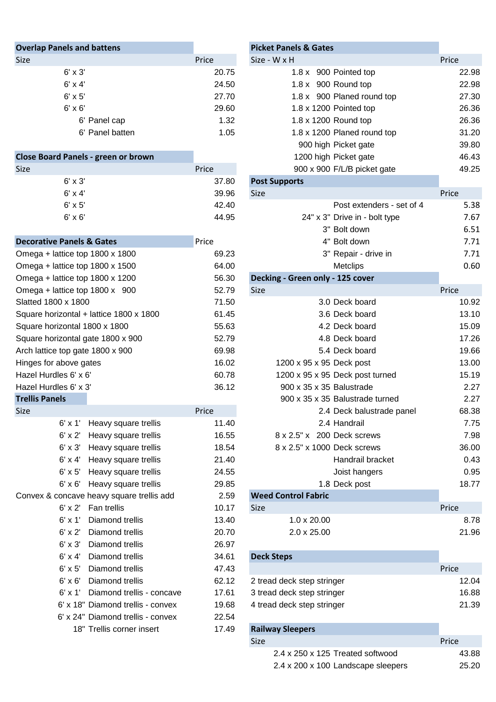| Price | Size - W x H                  | Price                            |
|-------|-------------------------------|----------------------------------|
| 20.75 | 1.8 x 900 Pointed top         |                                  |
| 24.50 | $1.8 \times 900$ Round top    |                                  |
| 27.70 | 1.8 x 900 Planed round top    |                                  |
| 29.60 | $1.8 \times 1200$ Pointed top |                                  |
| 1.32  | 1.8 x 1200 Round top          |                                  |
| 1.05  | 1.8 x 1200 Planed round top   |                                  |
|       |                               | <b>Picket Panels &amp; Gates</b> |

| Close Board Panels - green or brown |       | 12                   |
|-------------------------------------|-------|----------------------|
| <b>Size</b>                         | Price | 90                   |
| $6' \times 3'$                      | 37.80 | <b>Post Supports</b> |
| $6' \times 4'$                      | 39.96 | <b>Size</b>          |
| $6' \times 5'$                      | 42.40 |                      |
| $6' \times 6'$                      | 44.95 |                      |
|                                     |       |                      |

| <b>Decorative Panels &amp; Gates</b>    | Price | 4" Bolt down                     |       |
|-----------------------------------------|-------|----------------------------------|-------|
| Omega + lattice top 1800 x 1800         | 69.23 | 3" Repair - drive in             |       |
| Omega + lattice top 1800 x 1500         | 64.00 | <b>Metclips</b>                  |       |
| Omega + lattice top 1800 x 1200         | 56.30 | Decking - Green only - 125 cover |       |
| Omega + lattice top $1800 \times 900$   | 52.79 | <b>Size</b>                      | Price |
| Slatted 1800 x 1800                     | 71.50 | 3.0 Deck board                   |       |
| Square horizontal + lattice 1800 x 1800 | 61.45 | 3.6 Deck board                   |       |
| Square horizontal 1800 x 1800           | 55.63 | 4.2 Deck board                   |       |
| Square horizontal gate 1800 x 900       | 52.79 | 4.8 Deck board                   |       |
| Arch lattice top gate 1800 x 900        | 69.98 | 5.4 Deck board                   |       |
| Hinges for above gates                  | 16.02 | 1200 x 95 x 95 Deck post         |       |
| Hazel Hurdles 6' x 6'                   | 60.78 | 1200 x 95 x 95 Deck post turned  |       |
| Hazel Hurdles 6' x 3'                   | 36.12 | 900 x 35 x 35 Balustrade         |       |
| <b>Trellis Panels</b>                   |       | 900 x 35 x 35 Balustrade turned  |       |
| <b>Size</b>                             | Price | 2.4 Deck balustrade panel        |       |

| 6' x 1'        | Heavy square trellis                      | 11.40 | 2.4 Handrail                | 7.75                     |
|----------------|-------------------------------------------|-------|-----------------------------|--------------------------|
| $6' \times 2'$ | Heavy square trellis                      | 16.55 | 8 x 2.5" x 200 Deck screws  | 7.98                     |
| $6' \times 3'$ | Heavy square trellis                      | 18.54 | 8 x 2.5" x 1000 Deck screws | 36.00                    |
| $6'$ x 4'      | Heavy square trellis                      | 21.40 |                             | 0.43<br>Handrail bracket |
| $6' \times 5'$ | Heavy square trellis                      | 24.55 | Joist hangers               | 0.95                     |
|                | 6' x 6' Heavy square trellis              | 29.85 | 1.8 Deck post               | 18.77                    |
|                | Convex & concave heavy square trellis add | 2.59  | <b>Weed Control Fabric</b>  |                          |
| $6' \times 2'$ | Fan trellis                               | 10.17 | Size                        | Price                    |
| $6' \times 1'$ | Diamond trellis                           | 13.40 | $1.0 \times 20.00$          | 8.78                     |
| $6' \times 2'$ | Diamond trellis                           | 20.70 | $2.0 \times 25.00$          | 21.96                    |
| $6' \times 3'$ | Diamond trellis                           | 26.97 |                             |                          |
| $6' \times 4'$ | Diamond trellis                           | 34.61 | <b>Deck Steps</b>           |                          |
| $6' \times 5'$ | Diamond trellis                           | 47.43 |                             | Price                    |
| $6' \times 6'$ | Diamond trellis                           | 62.12 | 2 tread deck step stringer  | 12.04                    |
| $6' \times 1'$ | Diamond trellis - concave                 | 17.61 | 3 tread deck step stringer  | 16.88                    |
|                | 6' x 18" Diamond trellis - convex         | 19.68 | 4 tread deck step stringer  | 21.39                    |
|                | 6' x 24" Diamond trellis - convex         | 22.54 |                             |                          |
|                | 18" Trellis corner insert                 | 17.49 | <b>Railway Sleepers</b>     |                          |
|                |                                           |       |                             |                          |

# **Picket Panels & Gates** 1.8 x 900 Pointed top 22.98 1.8 x 900 Round top 22.98  $1.8 \times 900$  Planed round top 27.30 1.8 x 1200 Pointed top 26.36 1.8 x 1200 Round top 26.36 1.8 x 1200 Planed round top 31.20

900 high Picket gate 39.80

| <b>Close Board Panels - green or brown</b> |       | 1200 high Picket gate            | 46.43 |
|--------------------------------------------|-------|----------------------------------|-------|
| Size                                       | Price | 900 x 900 F/L/B picket gate      | 49.25 |
| $6' \times 3'$                             | 37.80 | <b>Post Supports</b>             |       |
| $6' \times 4'$                             | 39.96 | Size                             | Price |
| $6' \times 5'$                             | 42.40 | Post extenders - set of 4        | 5.38  |
| $6' \times 6'$                             | 44.95 | 24" x 3" Drive in - bolt type    | 7.67  |
|                                            |       | 3" Bolt down                     | 6.51  |
| <b>Decorative Panels &amp; Gates</b>       | Price | 4" Bolt down                     | 7.71  |
| Omega + lattice top 1800 x 1800            | 69.23 | 3" Repair - drive in             | 7.71  |
| Omega + lattice top 1800 x 1500            | 64.00 | <b>Metclips</b>                  | 0.60  |
| Omega + lattice top 1800 x 1200            | 56.30 | Decking - Green only - 125 cover |       |
| Omega + lattice top 1800 x 900             | 52.79 | <b>Size</b>                      | Price |
| Slatted 1800 x 1800                        | 71.50 | 3.0 Deck board                   | 10.92 |
| Square horizontal + lattice 1800 x 1800    | 61.45 | 3.6 Deck board                   | 13.10 |
| Square horizontal 1800 x 1800              | 55.63 | 4.2 Deck board                   | 15.09 |
| Square horizontal gate 1800 x 900          | 52.79 | 4.8 Deck board                   | 17.26 |
| Arch lattice top gate 1800 x 900           | 69.98 | 5.4 Deck board                   | 19.66 |
| Hinges for above gates                     | 16.02 | 1200 x 95 x 95 Deck post         | 13.00 |
| Hazel Hurdles 6' x 6'                      | 60.78 | 1200 x 95 x 95 Deck post turned  | 15.19 |
| Hazel Hurdles 6' x 3'                      | 36.12 | 900 x 35 x 35 Balustrade         | 2.27  |
| <b>Trellis Panels</b>                      |       | 900 x 35 x 35 Balustrade turned  | 2.27  |
| Size                                       | Price | 2.4 Deck balustrade panel        | 68.38 |
| $6' \times 1'$<br>Heavy square trellis     | 11.40 | 2.4 Handrail                     | 7.75  |
| 6' x 2' Heavy square trellis               | 16.55 | 8 x 2.5" x 200 Deck screws       | 7.98  |
| $6' \times 3'$<br>Heavy square trellis     | 18.54 | 8 x 2.5" x 1000 Deck screws      | 36.00 |
| 6' x 4' Heavy square trellis               | 21.40 | Handrail bracket                 | 0.43  |
| $6' \times 5'$<br>Heavy square trellis     | 24.55 | Joist hangers                    | 0.95  |
| 6' x 6' Heavy square trellis               | 29.85 | 1.8 Deck post                    | 18.77 |
| Convex & concave heavy square trellis add  | 2.59  | <b>Weed Control Fabric</b>       |       |
| 6' x 2' Fan trellis                        | 10.17 | Size                             | Price |
| 6' x 1'<br>Diamond trellis                 | 13.40 | 1.0 x 20.00                      | 8.78  |

| e.<br>۰. |  |
|----------|--|

| 6' x 5' Diamond trellis           | 47.43 |                            | Price |
|-----------------------------------|-------|----------------------------|-------|
| 6' x 6' Diamond trellis           | 62.12 | 2 tread deck step stringer | 12.04 |
| 6' x 1' Diamond trellis - concave | 17.61 | 3 tread deck step stringer | 16.88 |
| 6' x 18" Diamond trellis - convex | 19.68 | 4 tread deck step stringer | 21.39 |
|                                   |       |                            |       |

| <b>Railway Sleepers</b>            |       |
|------------------------------------|-------|
| Size                               | Price |
| 2.4 x 250 x 125 Treated softwood   | 43.88 |
| 2.4 x 200 x 100 Landscape sleepers | 25.20 |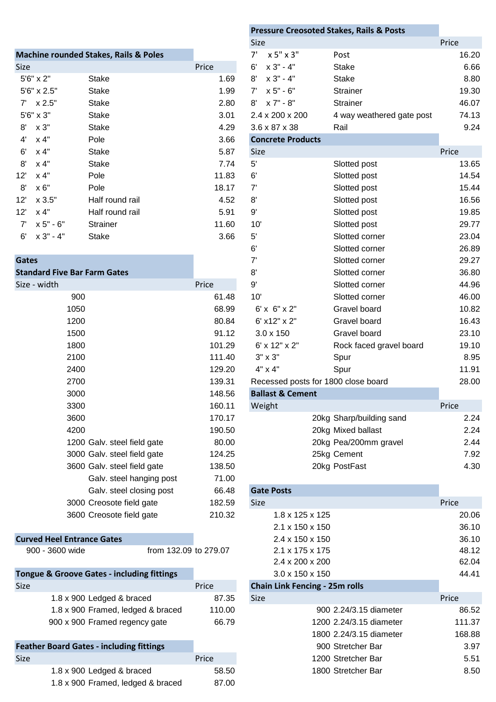|             |                      | <b>Machine rounded Stakes, Rails &amp; Poles</b> |       | x 5" x 3"<br>7'          | Post                      |       |
|-------------|----------------------|--------------------------------------------------|-------|--------------------------|---------------------------|-------|
| <b>Size</b> |                      |                                                  | Price | $x 3 - 4$<br>6'          | Stake                     |       |
|             | $5'6'' \times 2''$   | Stake                                            | 1.69  | 8'<br>x 3" - 4"          | Stake                     |       |
|             | $5'6'' \times 2.5''$ | Stake                                            | 1.99  | x 5" - 6"<br>$7^{\circ}$ | <b>Strainer</b>           |       |
|             | $7' \times 2.5"$     | Stake                                            | 2.80  | x 7" - 8"<br>8'          | <b>Strainer</b>           |       |
|             | 5'6" x 3"            | Stake                                            | 3.01  | 2.4 x 200 x 200          | 4 way weathered gate post |       |
| 8'          | x 3"                 | Stake                                            | 4.29  | 3.6 x 87 x 38            | Rail                      |       |
| 4'          | x 4"                 | Pole                                             | 3.66  | <b>Concrete Products</b> |                           |       |
| 6'          | x 4"                 | Stake                                            | 5.87  | Size                     |                           | Price |
| 8'          | x 4"                 | Stake                                            | 7.74  | 5'                       | Slotted post              |       |
| 12'         | x 4"                 | Pole                                             | 11.83 | 6'                       | Slotted post              |       |
| 8'          | x 6"                 | Pole                                             | 18.17 | 7'                       | Slotted post              |       |
| 12'         | $x$ 3.5"             | Half round rail                                  | 4.52  | 8'                       | Slotted post              |       |
| 12'         | x 4"                 | Half round rail                                  | 5.91  | 9'                       | Slotted post              |       |
| $7^{\circ}$ | $x 5" - 6"$          | <b>Strainer</b>                                  | 11.60 | 10'                      | Slotted post              |       |
| 6'          | $x 3 - 4$            | <b>Stake</b>                                     | 3.66  | 5'                       | Slotted corner            |       |
|             |                      |                                                  |       |                          |                           |       |

### **Standard Five Bar Farm Gates**

| ize - width |                             | Price  | 9'                          |
|-------------|-----------------------------|--------|-----------------------------|
|             | 900                         | 61.48  | 10'                         |
|             | 1050                        | 68.99  | $6' \times 6'' \times 2''$  |
|             | 1200                        | 80.84  | 6' x12" x 2"                |
|             | 1500                        | 91.12  | $3.0 \times 150$            |
|             | 1800                        | 101.29 | 6' x 12" x 2"               |
|             | 2100                        | 111.40 | $3" \times 3"$              |
|             | 2400                        | 129.20 | 4" x 4"                     |
|             | 2700                        | 139.31 | Recessed posts fo           |
|             | 3000                        | 148.56 | <b>Ballast &amp; Cement</b> |
|             | 3300                        | 160.11 | Weight                      |
|             | 3600                        | 170.17 | $\overline{2}$              |
|             | 4200                        | 190.50 | $\overline{2}$              |
|             | 1200 Galv. steel field gate | 80.00  | $\overline{2}$              |
|             | 3000 Galv. steel field gate | 124.25 | $\overline{2}$              |
|             | 3600 Galv. steel field gate | 138.50 | $\overline{2}$              |
|             | Galv. steel hanging post    | 71.00  |                             |
|             | Galv. steel closing post    | 66.48  | <b>Gate Posts</b>           |
|             | 3000 Creosote field gate    | 182.59 | <b>Size</b>                 |
|             | 3600 Creosote field gate    | 210.32 | $1.8 \times 125 \times$     |
|             |                             |        | $2.1 \times 150 \times$     |

# **Curved Heel Entrance Gates**

|             | <b>Tongue &amp; Groove Gates - including fittings</b> |        | $3.0 \times 150 \times 150$           |
|-------------|-------------------------------------------------------|--------|---------------------------------------|
| <b>Size</b> |                                                       | Price  | <b>Chain Link Fencing - 25m rolls</b> |
|             | 1.8 x 900 Ledged & braced                             | 87.35  | <b>Size</b>                           |
|             | 1.8 x 900 Framed, ledged & braced                     | 110.00 | 900 2.24/3.1                          |
|             | 900 x 900 Framed regency gate                         | 66.79  | 1200 2.24/3.1                         |

| <b>Feather Board Gates - including fittings</b> |       | 900 Stretcher Bar  | 3.97 |
|-------------------------------------------------|-------|--------------------|------|
| <b>Size</b>                                     | Price | 1200 Stretcher Bar | 5.51 |
| 1.8 x 900 Ledged & braced                       | 58.50 | 1800 Stretcher Bar | 8.50 |
| 1.8 x 900 Framed, ledged & braced               | 87.00 |                    |      |

|                                     |                                                  |        |                |                             | <b>Pressure Creosoted Stakes, Rails &amp; Posts</b> |       |
|-------------------------------------|--------------------------------------------------|--------|----------------|-----------------------------|-----------------------------------------------------|-------|
|                                     |                                                  |        | Size           |                             |                                                     | Price |
|                                     | <b>Machine rounded Stakes, Rails &amp; Poles</b> |        | 7'             | x 5" x 3"                   | Post                                                | 16.20 |
| Size                                |                                                  | Price  | 6'             | $x 3" - 4"$                 | <b>Stake</b>                                        | 6.66  |
| 5'6" x 2"                           | <b>Stake</b>                                     | 1.69   | 8'             | $x 3" - 4"$                 | <b>Stake</b>                                        | 8.80  |
| 5'6" x 2.5"                         | <b>Stake</b>                                     | 1.99   | 7'             | x 5" - 6"                   | <b>Strainer</b>                                     | 19.30 |
| $7'$ $\times 2.5"$                  | <b>Stake</b>                                     | 2.80   | $8^{\prime}$   | x 7" - 8"                   | Strainer                                            | 46.07 |
| 5'6" x 3"                           | <b>Stake</b>                                     | 3.01   |                | 2.4 x 200 x 200             | 4 way weathered gate post                           | 74.13 |
| x 3"<br>8'                          | <b>Stake</b>                                     | 4.29   |                | 3.6 x 87 x 38               | Rail                                                | 9.24  |
| x 4"<br>$4^{\prime}$                | Pole                                             | 3.66   |                | <b>Concrete Products</b>    |                                                     |       |
| 6'<br>x 4"                          | <b>Stake</b>                                     | 5.87   | <b>Size</b>    |                             |                                                     | Price |
| 8'<br>x 4"                          | <b>Stake</b>                                     | 7.74   | $5^{\prime}$   |                             | Slotted post                                        | 13.65 |
| 12'<br>x 4"                         | Pole                                             | 11.83  | 6'             |                             | Slotted post                                        | 14.54 |
| $8^{\prime}$<br>x 6"                | Pole                                             | 18.17  | 7'             |                             | Slotted post                                        | 15.44 |
| x 3.5"<br>12'                       | Half round rail                                  | 4.52   | 8'             |                             | Slotted post                                        | 16.56 |
| x 4"<br>12'                         | Half round rail                                  | 5.91   | 9'             |                             | Slotted post                                        | 19.85 |
| x 5" - 6"<br>7'                     | Strainer                                         | 11.60  | 10'            |                             | Slotted post                                        | 29.77 |
| x 3" - 4"<br>6'                     | <b>Stake</b>                                     | 3.66   | $5^{\circ}$    |                             | Slotted corner                                      | 23.04 |
|                                     |                                                  |        | 6'             |                             | Slotted corner                                      | 26.89 |
| <b>Gates</b>                        |                                                  |        | 7'             |                             | Slotted corner                                      | 29.27 |
| <b>Standard Five Bar Farm Gates</b> |                                                  |        | 8'             |                             | Slotted corner                                      | 36.80 |
| Size - width                        |                                                  | Price  | $9'$           |                             | Slotted corner                                      | 44.96 |
| 900                                 |                                                  | 61.48  | 10'            |                             | Slotted corner                                      | 46.00 |
| 1050                                |                                                  | 68.99  |                | $6' \times 6'' \times 2''$  | Gravel board                                        | 10.82 |
| 1200                                |                                                  | 80.84  |                | 6' x12" x 2"                | Gravel board                                        | 16.43 |
| 1500                                |                                                  | 91.12  |                | $3.0 \times 150$            | Gravel board                                        | 23.10 |
| 1800                                |                                                  | 101.29 |                | 6' x 12" x 2"               | Rock faced gravel board                             | 19.10 |
| 2100                                |                                                  | 111.40 | $3" \times 3"$ |                             | Spur                                                | 8.95  |
| 2400                                |                                                  | 129.20 | 4" x 4"        |                             | Spur                                                | 11.91 |
| 2700                                |                                                  | 139.31 |                |                             | Recessed posts for 1800 close board                 | 28.00 |
| 3000                                |                                                  | 148.56 |                | <b>Ballast &amp; Cement</b> |                                                     |       |
| 3300                                |                                                  | 160.11 | Weight         |                             |                                                     | Price |
| 3600                                |                                                  | 170.17 |                |                             | 20kg Sharp/building sand                            | 2.24  |
| 4200                                |                                                  | 190.50 |                |                             | 20kg Mixed ballast                                  | 2.24  |
|                                     | 1200 Galv. steel field gate                      | 80.00  |                |                             | 20kg Pea/200mm gravel                               | 2.44  |
|                                     | 3000 Galv. steel field gate                      | 124.25 |                |                             | 25kg Cement                                         | 7.92  |
|                                     | 3600 Galv. steel field gate                      | 138.50 |                |                             | 20kg PostFast                                       | 4.30  |
|                                     | Galv. steel hanging post                         | 71.00  |                |                             |                                                     |       |
|                                     | Galv. steel closing post                         | 66.48  |                | <b>Gate Posts</b>           |                                                     |       |
|                                     | 3000 Creosote field gate                         | 182.59 | Size           |                             |                                                     | Price |
|                                     | 3600 Creosote field gate                         | 210.32 |                | 1.8 x 125 x 125             |                                                     | 20.06 |
|                                     |                                                  |        |                | 2.1 x 150 x 150             |                                                     | 36.10 |
| <b>Curved Heel Entrance Gates</b>   |                                                  |        |                | 2.4 x 150 x 150             |                                                     | 36.10 |
| 900 - 3600 wide                     | from 132.09 to 279.07                            |        |                | 2.1 x 175 x 175             |                                                     | 48.12 |
|                                     |                                                  |        |                | 2.4 x 200 x 200             |                                                     | 62.04 |

| Groove Gates - including fittings              | $3.0 \times 150 \times 150$                                 |                                       |       |
|------------------------------------------------|-------------------------------------------------------------|---------------------------------------|-------|
|                                                | Price                                                       | <b>Chain Link Fencing - 25m rolls</b> |       |
| 1.8 x 900 Ledged & braced                      | 87.35                                                       | Size                                  | Price |
| $1.0 \times 0.00$ Exempted Induced $9$ broaded | $\overline{A}$ $\overline{A}$ $\overline{A}$ $\overline{A}$ |                                       | oo no |

| 1.8 x 900 Framed, ledged & braced       | 110.00 | 900 2.24/3.15 diameter  | 86.52  |
|-----------------------------------------|--------|-------------------------|--------|
| 900 x 900 Framed regency gate           | 66.79  | 1200 2.24/3.15 diameter | 111.37 |
|                                         |        | 1800 2.24/3.15 diameter | 168.88 |
| <b>Board Gates - including fittings</b> |        | 900 Stretcher Bar       | 3.97   |
|                                         | Price  | 1200 Stretcher Bar      | 5.51   |
| 1.8 x 900 Ledged & braced               | 58.50  | 1800 Stretcher Bar      | 8.50   |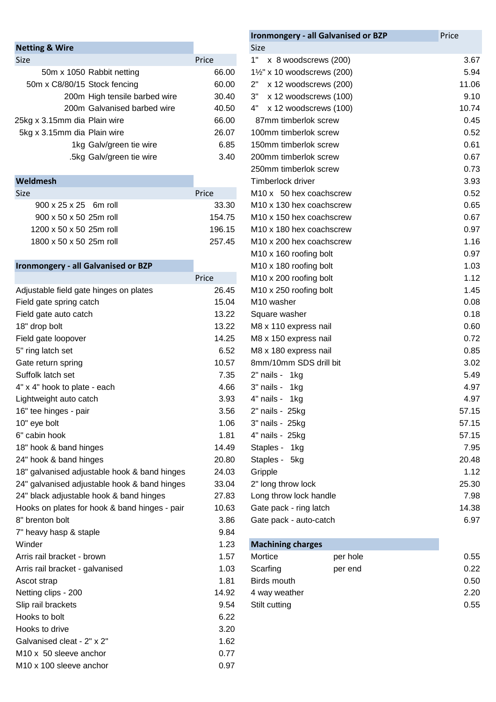| <b>Netting &amp; Wire</b>     |       | Size           |
|-------------------------------|-------|----------------|
| <b>Size</b>                   | Price | 1"             |
| 50m x 1050 Rabbit netting     | 66.00 | $1\frac{1}{5}$ |
| 50m x C8/80/15 Stock fencing  | 60.00 | 2"             |
| 200m High tensile barbed wire | 30.40 | 3"             |
| 200m Galvanised barbed wire   | 40.50 | 4"             |
| 25kg x 3.15mm dia Plain wire  | 66.00 | 87             |
| 5kg x 3.15mm dia Plain wire   | 26.07 | 100            |
| 1kg Galv/green tie wire       | 6.85  | 150            |
| .5kg Galv/green tie wire      | 3.40  | 200            |
|                               |       |                |

| <b>Size</b>                        | Price  |
|------------------------------------|--------|
| $900 \times 25 \times 25$ 6m roll  | 33.30  |
| $900 \times 50 \times 50$ 25m roll | 154.75 |
| 1200 x 50 x 50 25m roll            | 196.15 |
| 1800 x 50 x 50 25m roll            | 257.45 |
|                                    |        |

# **Ironmongery - all Galvanised or BZP**

|                                               | Price |
|-----------------------------------------------|-------|
| Adjustable field gate hinges on plates        | 26.45 |
| Field gate spring catch                       | 15.04 |
| Field gate auto catch                         | 13.22 |
| 18" drop bolt                                 | 13.22 |
| Field gate loopover                           | 14.25 |
| 5" ring latch set                             | 6.52  |
| Gate return spring                            | 10.57 |
| Suffolk latch set                             | 7.35  |
| 4" x 4" hook to plate - each                  | 4.66  |
| Lightweight auto catch                        | 3.93  |
| 16" tee hinges - pair                         | 3.56  |
| 10" eye bolt                                  | 1.06  |
| 6" cabin hook                                 | 1.81  |
| 18" hook & band hinges                        | 14.49 |
| 24" hook & band hinges                        | 20.80 |
| 18" galvanised adjustable hook & band hinges  | 24.03 |
| 24" galvanised adjustable hook & band hinges  | 33.04 |
| 24" black adjustable hook & band hinges       | 27.83 |
| Hooks on plates for hook & band hinges - pair | 10.63 |
| 8" brenton bolt                               | 3.86  |
| 7" heavy hasp & staple                        | 9.84  |
| Winder                                        | 1.23  |
| Arris rail bracket - brown                    | 1.57  |
| Arris rail bracket - galvanised               | 1.03  |
| Ascot strap                                   | 1.81  |
| Netting clips - 200                           | 14.92 |
| Slip rail brackets                            | 9.54  |
| Hooks to bolt                                 | 6.22  |
| Hooks to drive                                | 3.20  |
| Galvanised cleat - 2" x 2"                    | 1.62  |
| M <sub>10</sub> x 50 sleeve anchor            | 0.77  |
| M10 x 100 sleeve anchor                       | 0.97  |

|                                               |        | Ironmongery - all Galvanised or BZP  | Price |
|-----------------------------------------------|--------|--------------------------------------|-------|
| <b>Netting &amp; Wire</b>                     |        | <b>Size</b>                          |       |
| Size                                          | Price  | 1"<br>x 8 woodscrews (200)           | 3.67  |
| 50m x 1050 Rabbit netting                     | 66.00  | 1½" x 10 woodscrews (200)            | 5.94  |
| 50m x C8/80/15 Stock fencing                  | 60.00  | x 12 woodscrews (200)<br>2"          | 11.06 |
| 200m High tensile barbed wire                 | 30.40  | x 12 woodscrews (100)<br>3"          | 9.10  |
| 200m Galvanised barbed wire                   | 40.50  | x 12 woodscrews (100)<br>4"          | 10.74 |
| 25kg x 3.15mm dia Plain wire                  | 66.00  | 87mm timberlok screw                 | 0.45  |
| 5kg x 3.15mm dia Plain wire                   | 26.07  | 100mm timberlok screw                | 0.52  |
| 1kg Galv/green tie wire                       | 6.85   | 150mm timberlok screw                | 0.61  |
| .5kg Galv/green tie wire                      | 3.40   | 200mm timberlok screw                | 0.67  |
|                                               |        | 250mm timberlok screw                | 0.73  |
| Weldmesh                                      |        | Timberlock driver                    | 3.93  |
| Size                                          | Price  | M10 x 50 hex coachscrew              | 0.52  |
| 900 x 25 x 25 6m roll                         | 33.30  | M <sub>10</sub> x 130 hex coachscrew | 0.65  |
| 900 x 50 x 50 25m roll                        | 154.75 | M10 x 150 hex coachscrew             | 0.67  |
| 1200 x 50 x 50 25m roll                       | 196.15 | M10 x 180 hex coachscrew             | 0.97  |
| 1800 x 50 x 50 25m roll                       | 257.45 | M10 x 200 hex coachscrew             | 1.16  |
|                                               |        | M10 x 160 roofing bolt               | 0.97  |
| <b>Ironmongery - all Galvanised or BZP</b>    |        | M10 x 180 roofing bolt               | 1.03  |
|                                               | Price  | M10 x 200 roofing bolt               | 1.12  |
| Adjustable field gate hinges on plates        | 26.45  | M10 x 250 roofing bolt               | 1.45  |
| Field gate spring catch                       | 15.04  | M10 washer                           | 0.08  |
| Field gate auto catch                         | 13.22  | Square washer                        | 0.18  |
| 18" drop bolt                                 | 13.22  | M8 x 110 express nail                | 0.60  |
| Field gate loopover                           | 14.25  | M8 x 150 express nail                | 0.72  |
| 5" ring latch set                             | 6.52   | M8 x 180 express nail                | 0.85  |
| Gate return spring                            | 10.57  | 8mm/10mm SDS drill bit               | 3.02  |
| Suffolk latch set                             | 7.35   | 2" nails - 1kg                       | 5.49  |
| 4" x 4" hook to plate - each                  | 4.66   | 3" nails - 1kg                       | 4.97  |
| Lightweight auto catch                        | 3.93   | 4" nails - 1kg                       | 4.97  |
| 16" tee hinges - pair                         | 3.56   | 2" nails - 25kg                      | 57.15 |
| 10" eye bolt                                  | 1.06   | 3" nails - 25kg                      | 57.15 |
| 6" cabin hook                                 | 1.81   | 4" nails - 25kg                      | 57.15 |
| 18" hook & band hinges                        | 14.49  | Staples - 1kg                        | 7.95  |
| 24" hook & band hinges                        | 20.80  | Staples - 5kg                        | 20.48 |
| 18" galvanised adjustable hook & band hinges  | 24.03  | Gripple                              | 1.12  |
| 24" galvanised adjustable hook & band hinges  | 33.04  | 2" long throw lock                   | 25.30 |
| 24" black adjustable hook & band hinges       | 27.83  | Long throw lock handle               | 7.98  |
| Hooks on plates for hook & band hinges - pair | 10.63  | Gate pack - ring latch               | 14.38 |
| 8" brenton bolt                               | 3.86   | Gate pack - auto-catch               | 6.97  |

## 23 **Machining charges**

| Arris rail bracket - brown      | 1.57  | Mortice       | per hole | 0.55 |
|---------------------------------|-------|---------------|----------|------|
| Arris rail bracket - galvanised | 1.03  | Scarfing      | per end  | 0.22 |
| Ascot strap                     | 1.81  | Birds mouth   |          | 0.50 |
| Netting clips - 200             | 14.92 | 4 way weather |          | 2.20 |
| Slip rail brackets              | 9.54  | Stilt cutting |          | 0.55 |
|                                 |       |               |          |      |